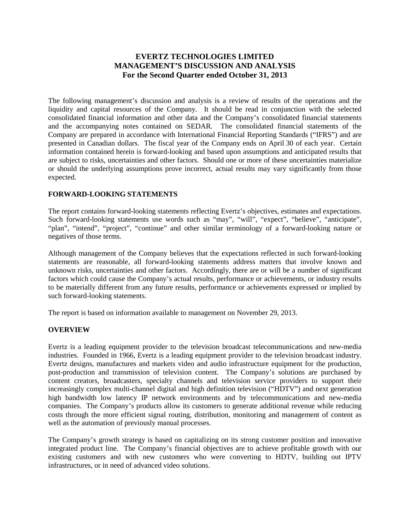# **EVERTZ TECHNOLOGIES LIMITED MANAGEMENT'S DISCUSSION AND ANALYSIS For the Second Quarter ended October 31, 2013**

The following management's discussion and analysis is a review of results of the operations and the liquidity and capital resources of the Company. It should be read in conjunction with the selected consolidated financial information and other data and the Company's consolidated financial statements and the accompanying notes contained on SEDAR. The consolidated financial statements of the Company are prepared in accordance with International Financial Reporting Standards ("IFRS") and are presented in Canadian dollars. The fiscal year of the Company ends on April 30 of each year. Certain information contained herein is forward-looking and based upon assumptions and anticipated results that are subject to risks, uncertainties and other factors. Should one or more of these uncertainties materialize or should the underlying assumptions prove incorrect, actual results may vary significantly from those expected.

## **FORWARD-LOOKING STATEMENTS**

The report contains forward-looking statements reflecting Evertz's objectives, estimates and expectations. Such forward-looking statements use words such as "may", "will", "expect", "believe", "anticipate", "plan", "intend", "project", "continue" and other similar terminology of a forward-looking nature or negatives of those terms.

Although management of the Company believes that the expectations reflected in such forward-looking statements are reasonable, all forward-looking statements address matters that involve known and unknown risks, uncertainties and other factors. Accordingly, there are or will be a number of significant factors which could cause the Company's actual results, performance or achievements, or industry results to be materially different from any future results, performance or achievements expressed or implied by such forward-looking statements.

The report is based on information available to management on November 29, 2013.

## **OVERVIEW**

Evertz is a leading equipment provider to the television broadcast telecommunications and new-media industries. Founded in 1966, Evertz is a leading equipment provider to the television broadcast industry. Evertz designs, manufactures and markets video and audio infrastructure equipment for the production, post-production and transmission of television content. The Company's solutions are purchased by content creators, broadcasters, specialty channels and television service providers to support their increasingly complex multi-channel digital and high definition television ("HDTV") and next generation high bandwidth low latency IP network environments and by telecommunications and new-media companies. The Company's products allow its customers to generate additional revenue while reducing costs through the more efficient signal routing, distribution, monitoring and management of content as well as the automation of previously manual processes.

The Company's growth strategy is based on capitalizing on its strong customer position and innovative integrated product line. The Company's financial objectives are to achieve profitable growth with our existing customers and with new customers who were converting to HDTV, building out IPTV infrastructures, or in need of advanced video solutions.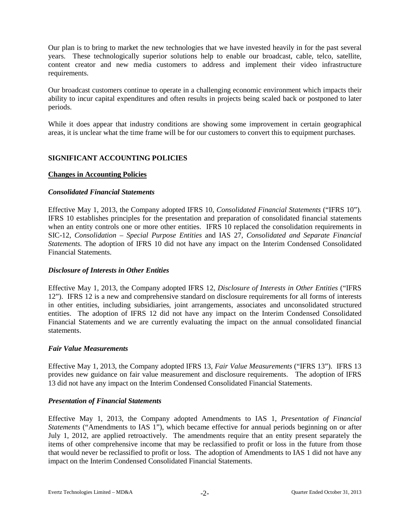Our plan is to bring to market the new technologies that we have invested heavily in for the past several years. These technologically superior solutions help to enable our broadcast, cable, telco, satellite, content creator and new media customers to address and implement their video infrastructure requirements.

Our broadcast customers continue to operate in a challenging economic environment which impacts their ability to incur capital expenditures and often results in projects being scaled back or postponed to later periods.

While it does appear that industry conditions are showing some improvement in certain geographical areas, it is unclear what the time frame will be for our customers to convert this to equipment purchases.

## **SIGNIFICANT ACCOUNTING POLICIES**

### **Changes in Accounting Policies**

## *Consolidated Financial Statements*

Effective May 1, 2013, the Company adopted IFRS 10, *Consolidated Financial Statements* ("IFRS 10"). IFRS 10 establishes principles for the presentation and preparation of consolidated financial statements when an entity controls one or more other entities. IFRS 10 replaced the consolidation requirements in SIC-12, *Consolidation – Special Purpose Entities* and IAS 27, *Consolidated and Separate Financial Statements.* The adoption of IFRS 10 did not have any impact on the Interim Condensed Consolidated Financial Statements.

### *Disclosure of Interests in Other Entities*

Effective May 1, 2013, the Company adopted IFRS 12, *Disclosure of Interests in Other Entities* ("IFRS 12"). IFRS 12 is a new and comprehensive standard on disclosure requirements for all forms of interests in other entities, including subsidiaries, joint arrangements, associates and unconsolidated structured entities. The adoption of IFRS 12 did not have any impact on the Interim Condensed Consolidated Financial Statements and we are currently evaluating the impact on the annual consolidated financial statements.

### *Fair Value Measurements*

Effective May 1, 2013, the Company adopted IFRS 13, *Fair Value Measurements* ("IFRS 13"). IFRS 13 provides new guidance on fair value measurement and disclosure requirements. The adoption of IFRS 13 did not have any impact on the Interim Condensed Consolidated Financial Statements.

### *Presentation of Financial Statements*

Effective May 1, 2013, the Company adopted Amendments to IAS 1, *Presentation of Financial Statements* ("Amendments to IAS 1"), which became effective for annual periods beginning on or after July 1, 2012, are applied retroactively. The amendments require that an entity present separately the items of other comprehensive income that may be reclassified to profit or loss in the future from those that would never be reclassified to profit or loss. The adoption of Amendments to IAS 1 did not have any impact on the Interim Condensed Consolidated Financial Statements.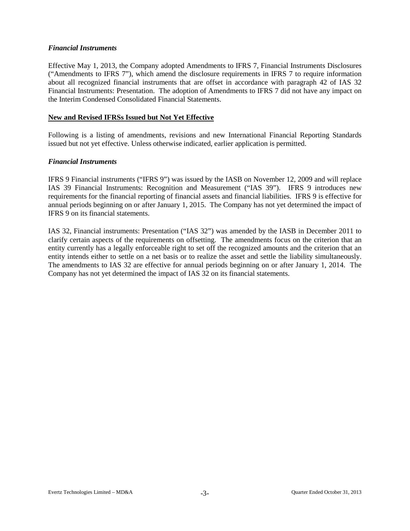## *Financial Instruments*

Effective May 1, 2013, the Company adopted Amendments to IFRS 7, Financial Instruments Disclosures ("Amendments to IFRS 7"), which amend the disclosure requirements in IFRS 7 to require information about all recognized financial instruments that are offset in accordance with paragraph 42 of IAS 32 Financial Instruments: Presentation. The adoption of Amendments to IFRS 7 did not have any impact on the Interim Condensed Consolidated Financial Statements.

## **New and Revised IFRSs Issued but Not Yet Effective**

Following is a listing of amendments, revisions and new International Financial Reporting Standards issued but not yet effective. Unless otherwise indicated, earlier application is permitted.

### *Financial Instruments*

IFRS 9 Financial instruments ("IFRS 9") was issued by the IASB on November 12, 2009 and will replace IAS 39 Financial Instruments: Recognition and Measurement ("IAS 39"). IFRS 9 introduces new requirements for the financial reporting of financial assets and financial liabilities. IFRS 9 is effective for annual periods beginning on or after January 1, 2015. The Company has not yet determined the impact of IFRS 9 on its financial statements.

IAS 32, Financial instruments: Presentation ("IAS 32") was amended by the IASB in December 2011 to clarify certain aspects of the requirements on offsetting. The amendments focus on the criterion that an entity currently has a legally enforceable right to set off the recognized amounts and the criterion that an entity intends either to settle on a net basis or to realize the asset and settle the liability simultaneously. The amendments to IAS 32 are effective for annual periods beginning on or after January 1, 2014. The Company has not yet determined the impact of IAS 32 on its financial statements.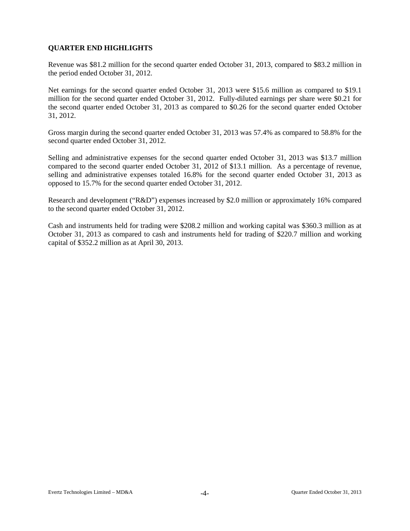## **QUARTER END HIGHLIGHTS**

Revenue was \$81.2 million for the second quarter ended October 31, 2013, compared to \$83.2 million in the period ended October 31, 2012.

Net earnings for the second quarter ended October 31, 2013 were \$15.6 million as compared to \$19.1 million for the second quarter ended October 31, 2012. Fully-diluted earnings per share were \$0.21 for the second quarter ended October 31, 2013 as compared to \$0.26 for the second quarter ended October 31, 2012.

Gross margin during the second quarter ended October 31, 2013 was 57.4% as compared to 58.8% for the second quarter ended October 31, 2012.

Selling and administrative expenses for the second quarter ended October 31, 2013 was \$13.7 million compared to the second quarter ended October 31, 2012 of \$13.1 million. As a percentage of revenue, selling and administrative expenses totaled 16.8% for the second quarter ended October 31, 2013 as opposed to 15.7% for the second quarter ended October 31, 2012.

Research and development ("R&D") expenses increased by \$2.0 million or approximately 16% compared to the second quarter ended October 31, 2012.

Cash and instruments held for trading were \$208.2 million and working capital was \$360.3 million as at October 31, 2013 as compared to cash and instruments held for trading of \$220.7 million and working capital of \$352.2 million as at April 30, 2013.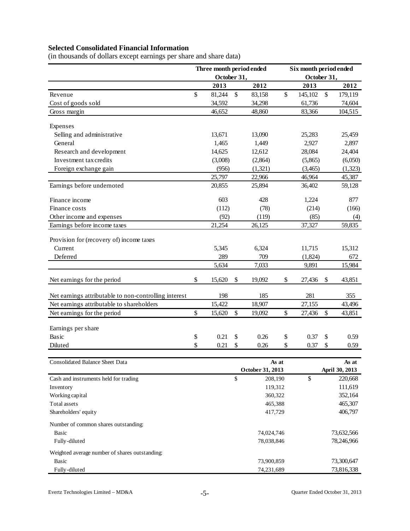# **Selected Consolidated Financial Information**

| (in thousands of dollars except earnings per share and share data) |  |
|--------------------------------------------------------------------|--|
|                                                                    |  |

|                                                       | Three month period ended<br>October 31, |                           |                           | Six month period ended<br>October 31, |                           |                          |
|-------------------------------------------------------|-----------------------------------------|---------------------------|---------------------------|---------------------------------------|---------------------------|--------------------------|
|                                                       | 2013                                    |                           | 2012                      | 2013                                  |                           | 2012                     |
|                                                       | \$<br>81,244                            | $\mathcal{S}$             |                           | \$<br>145,102                         | $\boldsymbol{\mathsf{S}}$ |                          |
| Revenue                                               |                                         |                           | 83,158                    | 61,736                                |                           | 179,119<br>74,604        |
| Cost of goods sold                                    | 34,592                                  |                           | 34,298                    | 83,366                                |                           |                          |
| Gross margin                                          | 46,652                                  |                           | 48,860                    |                                       |                           | 104,515                  |
| Expenses                                              |                                         |                           |                           |                                       |                           |                          |
| Selling and administrative                            | 13,671                                  |                           | 13,090                    | 25,283                                |                           | 25,459                   |
| General                                               | 1,465                                   |                           | 1,449                     | 2,927                                 |                           | 2,897                    |
| Research and development                              | 14,625                                  |                           | 12,612                    | 28,084                                |                           | 24,404                   |
| Investment tax credits                                | (3,008)                                 |                           | (2,864)                   | (5,865)                               |                           | (6,050)                  |
| Foreign exchange gain                                 | (956)                                   |                           | (1,321)                   | (3,465)                               |                           | (1,323)                  |
|                                                       | 25,797                                  |                           | 22,966                    | 46,964                                |                           | 45,387                   |
| Earnings before undernoted                            | 20,855                                  |                           | 25,894                    | 36,402                                |                           | 59,128                   |
| Finance income                                        | 603                                     |                           | 428                       | 1,224                                 |                           | 877                      |
| Finance costs                                         | (112)                                   |                           | (78)                      | (214)                                 |                           | (166)                    |
| Other income and expenses                             | (92)                                    |                           | (119)                     | (85)                                  |                           | (4)                      |
| Earnings before income taxes                          | 21,254                                  |                           | 26,125                    | 37,327                                |                           | 59,835                   |
|                                                       |                                         |                           |                           |                                       |                           |                          |
| Provision for (recovery of) income taxes              |                                         |                           |                           |                                       |                           |                          |
| Current                                               | 5,345                                   |                           | 6,324                     | 11,715                                |                           | 15,312                   |
| Deferred                                              | 289                                     |                           | 709                       | (1,824)                               |                           | 672                      |
|                                                       | 5,634                                   |                           | 7,033                     | 9,891                                 |                           | 15,984                   |
| Net earnings for the period                           | \$<br>15,620                            | $\boldsymbol{\mathsf{S}}$ | 19,092                    | \$<br>27,436                          | \$                        | 43,851                   |
| Net earnings attributable to non-controlling interest | 198                                     |                           | 185                       | 281                                   |                           | 355                      |
| Net earnings attributable to shareholders             | 15,422                                  |                           | 18,907                    | 27,155                                |                           | 43,496                   |
| Net earnings for the period                           | \$<br>15,620                            | \$                        | 19,092                    | \$<br>27,436                          | \$                        | 43,851                   |
|                                                       |                                         |                           |                           |                                       |                           |                          |
| Earnings per share                                    |                                         |                           |                           |                                       |                           |                          |
| Basic                                                 | \$<br>0.21                              | \$                        | 0.26                      | \$<br>0.37                            | \$                        | 0.59                     |
| Diluted                                               | \$<br>0.21                              | \$                        | 0.26                      | \$<br>0.37                            | \$                        | 0.59                     |
|                                                       |                                         |                           |                           |                                       |                           |                          |
| Consolidated Balance Sheet Data                       |                                         |                           | As at<br>October 31, 2013 |                                       |                           | As at<br>April 30, 2013  |
| Cash and instruments held for trading                 |                                         | \$                        | 208,190                   | \$                                    |                           | 220,668                  |
| Inventory                                             |                                         |                           | 119,312                   |                                       |                           | 111,619                  |
| Working capital                                       |                                         |                           | 360,322                   |                                       |                           | 352,164                  |
| Total assets                                          |                                         |                           | 465,388                   |                                       |                           | 465,307                  |
| Shareholders' equity                                  |                                         |                           | 417,729                   |                                       |                           | 406,797                  |
|                                                       |                                         |                           |                           |                                       |                           |                          |
| Number of common shares outstanding:<br><b>Basic</b>  |                                         |                           |                           |                                       |                           |                          |
| Fully-diluted                                         |                                         |                           | 74,024,746<br>78,038,846  |                                       |                           | 73,632,566<br>78,246,966 |
|                                                       |                                         |                           |                           |                                       |                           |                          |
| Weighted average number of shares outstanding:        |                                         |                           |                           |                                       |                           |                          |
| <b>Basic</b>                                          |                                         |                           | 73,900,859                |                                       |                           | 73,300,647               |
| Fully-diluted                                         |                                         |                           | 74,231,689                |                                       |                           | 73,816,338               |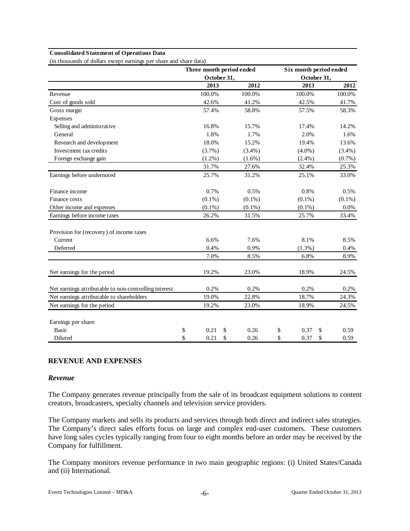#### **Consolidated Statement of Operations Data**

(in thousands of dollars except earnings per share and share data)

|                                                       |             |    | Three month period ended | Six month period ended |             |    |           |  |  |
|-------------------------------------------------------|-------------|----|--------------------------|------------------------|-------------|----|-----------|--|--|
|                                                       | October 31, |    |                          |                        | October 31, |    |           |  |  |
|                                                       | 2013        |    | 2012                     |                        | 2013        |    | 2012      |  |  |
| Revenue                                               | 100.0%      |    | 100.0%                   |                        | 100.0%      |    | 100.0%    |  |  |
| Cost of goods sold                                    | 42.6%       |    | 41.2%                    |                        | 42.5%       |    | 41.7%     |  |  |
| Gross margin                                          | 57.4%       |    | 58.8%                    |                        | 57.5%       |    | 58.3%     |  |  |
| Expenses                                              |             |    |                          |                        |             |    |           |  |  |
| Selling and administrative                            | 16.8%       |    | 15.7%                    |                        | 17.4%       |    | 14.2%     |  |  |
| General                                               | 1.8%        |    | 1.7%                     |                        | 2.0%        |    | 1.6%      |  |  |
| Research and development                              | 18.0%       |    | 15.2%                    |                        | 19.4%       |    | 13.6%     |  |  |
| Investment tax credits                                | (3.7%)      |    | $(3.4\%)$                |                        | $(4.0\%)$   |    | $(3.4\%)$ |  |  |
| Foreign exchange gain                                 | $(1.2\%)$   |    | $(1.6\%)$                |                        | $(2.4\%)$   |    | $(0.7\%)$ |  |  |
|                                                       | 31.7%       |    | 27.6%                    |                        | 32.4%       |    | 25.3%     |  |  |
| Earnings before undernoted                            | 25.7%       |    | 31.2%                    |                        | 25.1%       |    | 33.0%     |  |  |
| Finance income                                        | 0.7%        |    | 0.5%                     |                        | 0.8%        |    | 0.5%      |  |  |
| Finance costs                                         | $(0.1\%)$   |    | $(0.1\%)$                |                        | $(0.1\%)$   |    | $(0.1\%)$ |  |  |
| Other income and expenses                             | $(0.1\%)$   |    | $(0.1\%)$                |                        | $(0.1\%)$   |    | 0.0%      |  |  |
| Earnings before income taxes                          | 26.2%       |    | 31.5%                    |                        | 25.7%       |    | 33.4%     |  |  |
| Provision for (recovery) of income taxes              |             |    |                          |                        |             |    |           |  |  |
| Current                                               | 6.6%        |    | 7.6%                     |                        | 8.1%        |    | 8.5%      |  |  |
| Deferred                                              | 0.4%        |    | 0.9%                     |                        | $(1.3\%)$   |    | 0.4%      |  |  |
|                                                       | 7.0%        |    | 8.5%                     |                        | 6.8%        |    | 8.9%      |  |  |
| Net earnings for the period                           | 19.2%       |    | 23.0%                    |                        | 18.9%       |    | 24.5%     |  |  |
| Net earnings attributable to non-controlling interest | 0.2%        |    | 0.2%                     |                        | 0.2%        |    | 0.2%      |  |  |
| Net earnings attributable to shareholders             | 19.0%       |    | 22.8%                    |                        | 18.7%       |    | 24.3%     |  |  |
| Net earnings for the period                           | 19.2%       |    | 23.0%                    |                        | 18.9%       |    | 24.5%     |  |  |
| Earnings per share:                                   |             |    |                          |                        |             |    |           |  |  |
| <b>Basic</b>                                          | \$<br>0.21  | S  | 0.26                     | \$                     | 0.37        | \$ | 0.59      |  |  |
| Diluted                                               | \$<br>0.21  | \$ | 0.26                     | \$                     | 0.37        | \$ | 0.59      |  |  |

## **REVENUE AND EXPENSES**

## *Revenue*

The Company generates revenue principally from the sale of its broadcast equipment solutions to content creators, broadcasters, specialty channels and television service providers.

The Company markets and sells its products and services through both direct and indirect sales strategies. The Company's direct sales efforts focus on large and complex end-user customers. These customers have long sales cycles typically ranging from four to eight months before an order may be received by the Company for fulfillment.

The Company monitors revenue performance in two main geographic regions: (i) United States/Canada and (ii) International.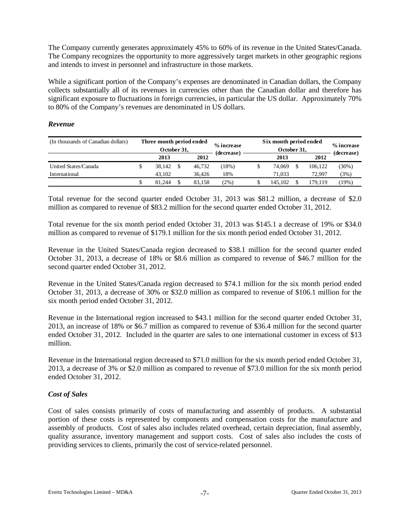The Company currently generates approximately 45% to 60% of its revenue in the United States/Canada. The Company recognizes the opportunity to more aggressively target markets in other geographic regions and intends to invest in personnel and infrastructure in those markets.

While a significant portion of the Company's expenses are denominated in Canadian dollars, the Company collects substantially all of its revenues in currencies other than the Canadian dollar and therefore has significant exposure to fluctuations in foreign currencies, in particular the US dollar. Approximately 70% to 80% of the Company's revenues are denominated in US dollars.

## *Revenue*

| (In thousands of Canadian dollars) | Three month period ended<br>October 31, |  |        | % increase<br>(decrease) | Six month period ended<br>October 31, |      |            |          |  |  |
|------------------------------------|-----------------------------------------|--|--------|--------------------------|---------------------------------------|------|------------|----------|--|--|
|                                    | 2012<br>2013                            |  |        | 2013                     |                                       | 2012 | (decrease) |          |  |  |
| United States/Canada               | 38.142                                  |  | 46.732 | (18%)                    | 74.069                                |      | 106.122    | $(30\%)$ |  |  |
| International                      | 43.102                                  |  | 36.426 | 18%                      | 71.033                                |      | 72.997     | (3%)     |  |  |
|                                    | 81.244                                  |  | 83.158 | $(2\%)$                  | 145.102                               |      | 79.119     | (19%)    |  |  |

Total revenue for the second quarter ended October 31, 2013 was \$81.2 million, a decrease of \$2.0 million as compared to revenue of \$83.2 million for the second quarter ended October 31, 2012.

Total revenue for the six month period ended October 31, 2013 was \$145.1 a decrease of 19% or \$34.0 million as compared to revenue of \$179.1 million for the six month period ended October 31, 2012.

Revenue in the United States/Canada region decreased to \$38.1 million for the second quarter ended October 31, 2013, a decrease of 18% or \$8.6 million as compared to revenue of \$46.7 million for the second quarter ended October 31, 2012.

Revenue in the United States/Canada region decreased to \$74.1 million for the six month period ended October 31, 2013, a decrease of 30% or \$32.0 million as compared to revenue of \$106.1 million for the six month period ended October 31, 2012.

Revenue in the International region increased to \$43.1 million for the second quarter ended October 31, 2013, an increase of 18% or \$6.7 million as compared to revenue of \$36.4 million for the second quarter ended October 31, 2012. Included in the quarter are sales to one international customer in excess of \$13 million.

Revenue in the International region decreased to \$71.0 million for the six month period ended October 31, 2013, a decrease of 3% or \$2.0 million as compared to revenue of \$73.0 million for the six month period ended October 31, 2012.

## *Cost of Sales*

Cost of sales consists primarily of costs of manufacturing and assembly of products. A substantial portion of these costs is represented by components and compensation costs for the manufacture and assembly of products. Cost of sales also includes related overhead, certain depreciation, final assembly, quality assurance, inventory management and support costs. Cost of sales also includes the costs of providing services to clients, primarily the cost of service-related personnel.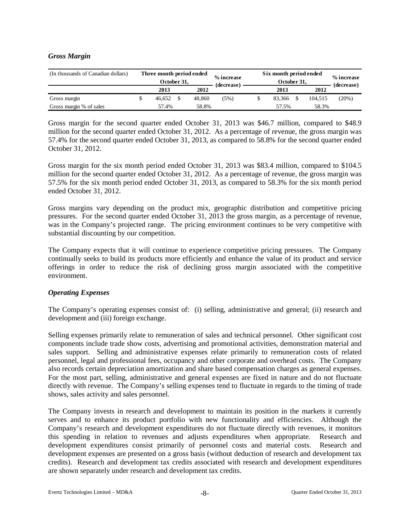## *Gross Margin*

| (In thousands of Canadian dollars) | Three month period ended<br>October 31, |  |        | % increase<br>(decrease) | Six month period ended | % increase<br>(decrease) |         |       |  |
|------------------------------------|-----------------------------------------|--|--------|--------------------------|------------------------|--------------------------|---------|-------|--|
|                                    | 2013                                    |  | 2012   |                          |                        | 2013                     | 2012    |       |  |
| Gross margin                       | 46.652                                  |  | 48.860 | (5%)                     |                        | 83.366                   | 104.515 | (20%) |  |
| Gross margin % of sales            | 58.8%<br>57.4%                          |  |        |                          |                        | 57.5%                    | 58.3%   |       |  |

Gross margin for the second quarter ended October 31, 2013 was \$46.7 million, compared to \$48.9 million for the second quarter ended October 31, 2012. As a percentage of revenue, the gross margin was 57.4% for the second quarter ended October 31, 2013, as compared to 58.8% for the second quarter ended October 31, 2012.

Gross margin for the six month period ended October 31, 2013 was \$83.4 million, compared to \$104.5 million for the second quarter ended October 31, 2012. As a percentage of revenue, the gross margin was 57.5% for the six month period ended October 31, 2013, as compared to 58.3% for the six month period ended October 31, 2012.

Gross margins vary depending on the product mix, geographic distribution and competitive pricing pressures. For the second quarter ended October 31, 2013 the gross margin, as a percentage of revenue, was in the Company's projected range. The pricing environment continues to be very competitive with substantial discounting by our competition.

The Company expects that it will continue to experience competitive pricing pressures. The Company continually seeks to build its products more efficiently and enhance the value of its product and service offerings in order to reduce the risk of declining gross margin associated with the competitive environment.

### *Operating Expenses*

The Company's operating expenses consist of: (i) selling, administrative and general; (ii) research and development and (iii) foreign exchange.

Selling expenses primarily relate to remuneration of sales and technical personnel. Other significant cost components include trade show costs, advertising and promotional activities, demonstration material and sales support. Selling and administrative expenses relate primarily to remuneration costs of related personnel, legal and professional fees, occupancy and other corporate and overhead costs. The Company also records certain depreciation amortization and share based compensation charges as general expenses. For the most part, selling, administrative and general expenses are fixed in nature and do not fluctuate directly with revenue. The Company's selling expenses tend to fluctuate in regards to the timing of trade shows, sales activity and sales personnel.

The Company invests in research and development to maintain its position in the markets it currently serves and to enhance its product portfolio with new functionality and efficiencies. Although the Company's research and development expenditures do not fluctuate directly with revenues, it monitors this spending in relation to revenues and adjusts expenditures when appropriate. Research and development expenditures consist primarily of personnel costs and material costs. Research and development expenses are presented on a gross basis (without deduction of research and development tax credits). Research and development tax credits associated with research and development expenditures are shown separately under research and development tax credits.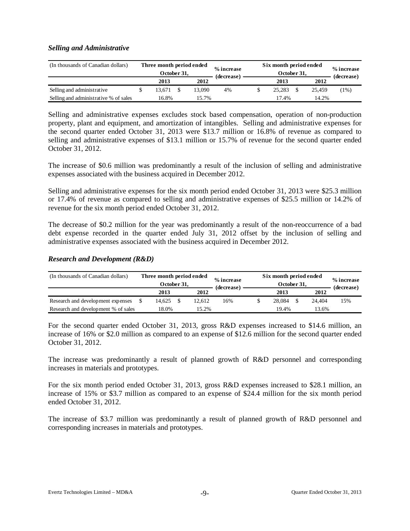## *Selling and Administrative*

| (In thousands of Canadian dollars)    | Three month period ended<br>October 31, |        | % increase<br>(decrease) | Six month period ended | % increase<br>(decrease) |        |         |  |
|---------------------------------------|-----------------------------------------|--------|--------------------------|------------------------|--------------------------|--------|---------|--|
|                                       | 2013                                    | 2012   |                          |                        | 2013                     | 2012   |         |  |
| Selling and administrative            | 13.671                                  | 13.090 | 4%                       |                        | 25.283                   | 25.459 | $1\%$ ) |  |
| Selling and administrative % of sales | 16.8%                                   | 15.7%  |                          |                        | 17.4%                    | 14.2%  |         |  |

Selling and administrative expenses excludes stock based compensation, operation of non-production property, plant and equipment, and amortization of intangibles. Selling and administrative expenses for the second quarter ended October 31, 2013 were \$13.7 million or 16.8% of revenue as compared to selling and administrative expenses of \$13.1 million or 15.7% of revenue for the second quarter ended October 31, 2012.

The increase of \$0.6 million was predominantly a result of the inclusion of selling and administrative expenses associated with the business acquired in December 2012.

Selling and administrative expenses for the six month period ended October 31, 2013 were \$25.3 million or 17.4% of revenue as compared to selling and administrative expenses of \$25.5 million or 14.2% of revenue for the six month period ended October 31, 2012.

The decrease of \$0.2 million for the year was predominantly a result of the non-reoccurrence of a bad debt expense recorded in the quarter ended July 31, 2012 offset by the inclusion of selling and administrative expenses associated with the business acquired in December 2012.

## *Research and Development (R&D)*

| (In thousands of Canadian dollars)  |                | Three month period ended<br>October 31. |  |        | % increase<br>(decrease) | Six month period ended<br>October 31, |  |        |            |  |  |
|-------------------------------------|----------------|-----------------------------------------|--|--------|--------------------------|---------------------------------------|--|--------|------------|--|--|
|                                     |                | 2013                                    |  | 2012   |                          | 2013                                  |  | 2012   | (decrease) |  |  |
| Research and development expenses   |                | 14.625                                  |  | 12.612 | 16%                      | 28,084                                |  | 24.404 | 15%        |  |  |
| Research and development % of sales | 18.0%<br>15.2% |                                         |  |        | 19.4%                    | 13.6%                                 |  |        |            |  |  |

For the second quarter ended October 31, 2013, gross R&D expenses increased to \$14.6 million, an increase of 16% or \$2.0 million as compared to an expense of \$12.6 million for the second quarter ended October 31, 2012.

The increase was predominantly a result of planned growth of R&D personnel and corresponding increases in materials and prototypes.

For the six month period ended October 31, 2013, gross R&D expenses increased to \$28.1 million, an increase of 15% or \$3.7 million as compared to an expense of \$24.4 million for the six month period ended October 31, 2012.

The increase of \$3.7 million was predominantly a result of planned growth of R&D personnel and corresponding increases in materials and prototypes.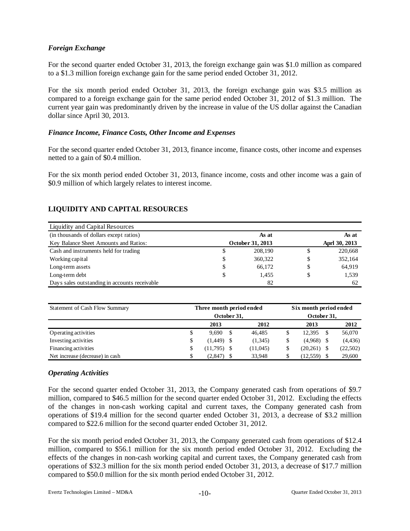## *Foreign Exchange*

For the second quarter ended October 31, 2013, the foreign exchange gain was \$1.0 million as compared to a \$1.3 million foreign exchange gain for the same period ended October 31, 2012.

For the six month period ended October 31, 2013, the foreign exchange gain was \$3.5 million as compared to a foreign exchange gain for the same period ended October 31, 2012 of \$1.3 million. The current year gain was predominantly driven by the increase in value of the US dollar against the Canadian dollar since April 30, 2013.

## *Finance Income, Finance Costs, Other Income and Expenses*

For the second quarter ended October 31, 2013, finance income, finance costs, other income and expenses netted to a gain of \$0.4 million.

For the six month period ended October 31, 2013, finance income, costs and other income was a gain of \$0.9 million of which largely relates to interest income.

## **LIQUIDITY AND CAPITAL RESOURCES**

| Liquidity and Capital Resources               |    |                  |    |               |
|-----------------------------------------------|----|------------------|----|---------------|
| (in thousands of dollars except ratios)       |    | As at            |    | As at         |
| Key Balance Sheet Amounts and Ratios:         |    | October 31, 2013 |    | Aprl 30, 2013 |
| Cash and instruments held for trading         | S  | 208,190          | S  | 220,668       |
| Working capital                               | S  | 360,322          | \$ | 352,164       |
| Long-term assets                              | \$ | 66.172           | \$ | 64,919        |
| Long-term debt                                |    | 1.455            |    | 1,539         |
| Days sales outstanding in accounts receivable |    | 82               |    | 62            |

| Statement of Cash Flow Summary  |    | Three month period ended | Six month period ended |           |           |               |          |  |
|---------------------------------|----|--------------------------|------------------------|-----------|-----------|---------------|----------|--|
|                                 |    | October 31.              | October 31,            |           |           |               |          |  |
|                                 |    | 2013                     |                        | 2012      | 2013      |               | 2012     |  |
| Operating activities            | \$ | 9.690                    | -S                     | 46.485    | 12.395    | <sup>\$</sup> | 56,070   |  |
| Investing activities            | S  | (1,449)                  |                        | (1,345)   | (4,968)   |               | (4, 436) |  |
| Financing activities            |    | (11,795)                 |                        | (11, 045) | (20, 261) |               | (22,502) |  |
| Net increase (decrease) in cash |    | (2,847)                  |                        | 33.948    | (12, 559) |               | 29,600   |  |

## *Operating Activities*

For the second quarter ended October 31, 2013, the Company generated cash from operations of \$9.7 million, compared to \$46.5 million for the second quarter ended October 31, 2012. Excluding the effects of the changes in non-cash working capital and current taxes, the Company generated cash from operations of \$19.4 million for the second quarter ended October 31, 2013, a decrease of \$3.2 million compared to \$22.6 million for the second quarter ended October 31, 2012.

For the six month period ended October 31, 2013, the Company generated cash from operations of \$12.4 million, compared to \$56.1 million for the six month period ended October 31, 2012. Excluding the effects of the changes in non-cash working capital and current taxes, the Company generated cash from operations of \$32.3 million for the six month period ended October 31, 2013, a decrease of \$17.7 million compared to \$50.0 million for the six month period ended October 31, 2012.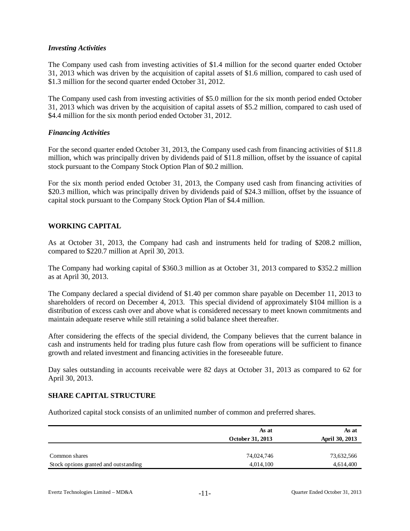## *Investing Activities*

The Company used cash from investing activities of \$1.4 million for the second quarter ended October 31, 2013 which was driven by the acquisition of capital assets of \$1.6 million, compared to cash used of \$1.3 million for the second quarter ended October 31, 2012.

The Company used cash from investing activities of \$5.0 million for the six month period ended October 31, 2013 which was driven by the acquisition of capital assets of \$5.2 million, compared to cash used of \$4.4 million for the six month period ended October 31, 2012.

## *Financing Activities*

For the second quarter ended October 31, 2013, the Company used cash from financing activities of \$11.8 million, which was principally driven by dividends paid of \$11.8 million, offset by the issuance of capital stock pursuant to the Company Stock Option Plan of \$0.2 million.

For the six month period ended October 31, 2013, the Company used cash from financing activities of \$20.3 million, which was principally driven by dividends paid of \$24.3 million, offset by the issuance of capital stock pursuant to the Company Stock Option Plan of \$4.4 million.

## **WORKING CAPITAL**

As at October 31, 2013, the Company had cash and instruments held for trading of \$208.2 million, compared to \$220.7 million at April 30, 2013.

The Company had working capital of \$360.3 million as at October 31, 2013 compared to \$352.2 million as at April 30, 2013.

The Company declared a special dividend of \$1.40 per common share payable on December 11, 2013 to shareholders of record on December 4, 2013. This special dividend of approximately \$104 million is a distribution of excess cash over and above what is considered necessary to meet known commitments and maintain adequate reserve while still retaining a solid balance sheet thereafter.

After considering the effects of the special dividend, the Company believes that the current balance in cash and instruments held for trading plus future cash flow from operations will be sufficient to finance growth and related investment and financing activities in the foreseeable future.

Day sales outstanding in accounts receivable were 82 days at October 31, 2013 as compared to 62 for April 30, 2013.

### **SHARE CAPITAL STRUCTURE**

Authorized capital stock consists of an unlimited number of common and preferred shares.

|                                       | As at<br>October 31, 2013 | As at<br>April 30, 2013 |
|---------------------------------------|---------------------------|-------------------------|
| Common shares                         | 74,024,746                | 73,632,566              |
| Stock options granted and outstanding | 4,014,100                 | 4,614,400               |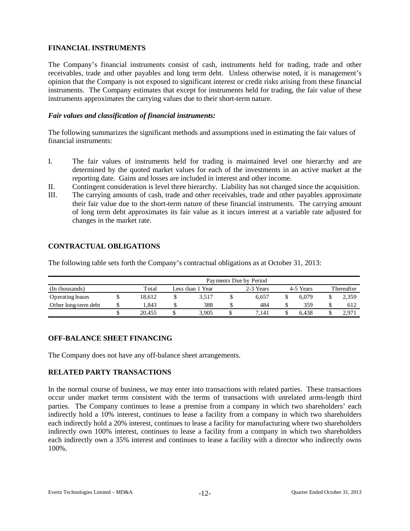## **FINANCIAL INSTRUMENTS**

The Company's financial instruments consist of cash, instruments held for trading, trade and other receivables, trade and other payables and long term debt. Unless otherwise noted, it is management's opinion that the Company is not exposed to significant interest or credit risks arising from these financial instruments. The Company estimates that except for instruments held for trading, the fair value of these instruments approximates the carrying values due to their short-term nature.

## *Fair values and classification of financial instruments:*

The following summarizes the significant methods and assumptions used in estimating the fair values of financial instruments:

- I. The fair values of instruments held for trading is maintained level one hierarchy and are determined by the quoted market values for each of the investments in an active market at the reporting date. Gains and losses are included in interest and other income.
- II. Contingent consideration is level three hierarchy. Liability has not changed since the acquisition.
- III. The carrying amounts of cash, trade and other receivables, trade and other payables approximate their fair value due to the short-term nature of these financial instruments. The carrying amount of long term debt approximates its fair value as it incurs interest at a variable rate adjusted for changes in the market rate.

## **CONTRACTUAL OBLIGATIONS**

The following table sets forth the Company's contractual obligations as at October 31, 2013:

|                      | Payments Due by Period |  |                  |  |           |  |           |            |       |  |  |  |  |  |
|----------------------|------------------------|--|------------------|--|-----------|--|-----------|------------|-------|--|--|--|--|--|
| (In thousands)       | Total                  |  | Less than 1 Year |  | 2-3 Years |  | 4-5 Years | Thereafter |       |  |  |  |  |  |
| Operating leases     | 18.612                 |  | 3.517            |  | 6.657     |  | 6.079     |            | 2,359 |  |  |  |  |  |
| Other long-term debt | .843                   |  | 388              |  | 484       |  | 359       |            | 612   |  |  |  |  |  |
|                      | 20.455                 |  | 3.905            |  | 7.141     |  | 6.438     |            | 2.971 |  |  |  |  |  |

## **OFF-BALANCE SHEET FINANCING**

The Company does not have any off-balance sheet arrangements.

## **RELATED PARTY TRANSACTIONS**

In the normal course of business, we may enter into transactions with related parties. These transactions occur under market terms consistent with the terms of transactions with unrelated arms-length third parties. The Company continues to lease a premise from a company in which two shareholders' each indirectly hold a 10% interest, continues to lease a facility from a company in which two shareholders each indirectly hold a 20% interest, continues to lease a facility for manufacturing where two shareholders indirectly own 100% interest, continues to lease a facility from a company in which two shareholders each indirectly own a 35% interest and continues to lease a facility with a director who indirectly owns 100%.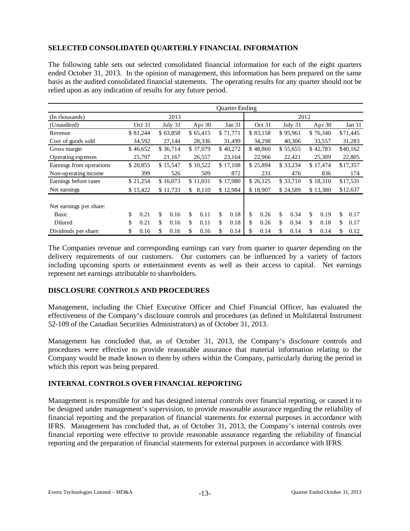## **SELECTED CONSOLIDATED QUARTERLY FINANCIAL INFORMATION**

The following table sets out selected consolidated financial information for each of the eight quarters ended October 31, 2013. In the opinion of management, this information has been prepared on the same basis as the audited consolidated financial statements. The operating results for any quarter should not be relied upon as any indication of results for any future period.

|                                  |            |            |          |          |          | <b>Ouarter Ending</b> |          |          |          |          |          |          |          |          |  |          |  |          |  |          |  |          |  |  |  |  |  |  |  |        |  |        |  |        |  |        |  |        |
|----------------------------------|------------|------------|----------|----------|----------|-----------------------|----------|----------|----------|----------|----------|----------|----------|----------|--|----------|--|----------|--|----------|--|----------|--|--|--|--|--|--|--|--------|--|--------|--|--------|--|--------|--|--------|
| (In thousands)                   |            | 2013       |          |          |          |                       |          |          |          | 2012     |          |          |          |          |  |          |  |          |  |          |  |          |  |  |  |  |  |  |  |        |  |        |  |        |  |        |  |        |
| (Unaudited)                      | Oct 31     | July 31    |          | Apr $30$ |          | Jan 31                |          | Oct 31   |          | July 31  |          | Apr 30   |          | Jan 31   |  |          |  |          |  |          |  |          |  |  |  |  |  |  |  |        |  |        |  |        |  |        |  |        |
| Revenue                          | \$81,244   | \$63,858   |          | \$65,415 |          | \$71,771              |          | \$83,158 |          | \$95,961 |          | \$76,340 |          | \$71,445 |  |          |  |          |  |          |  |          |  |  |  |  |  |  |  |        |  |        |  |        |  |        |  |        |
| Cost of goods sold               | 34,592     | 27,144     |          | 28,336   |          |                       |          |          |          |          |          |          |          |          |  |          |  |          |  |          |  |          |  |  |  |  |  |  |  | 31,499 |  | 34,298 |  | 40,306 |  | 33,557 |  | 31,283 |
| Gross margin                     | \$46,652   | \$36,714   |          | \$37,079 |          |                       |          |          |          |          |          |          |          | \$40,272 |  | \$48,860 |  | \$55,655 |  | \$42,783 |  | \$40,162 |  |  |  |  |  |  |  |        |  |        |  |        |  |        |  |        |
| Operating expenses               | 25,797     | 21,167     |          | 26,557   |          | 23,164                |          | 22,966   |          | 22,421   |          | 25,309   |          | 22,805   |  |          |  |          |  |          |  |          |  |  |  |  |  |  |  |        |  |        |  |        |  |        |  |        |
| Earnings from operations         | \$20,855   | \$15,547   | \$10,522 |          | \$17,108 |                       | \$25,894 |          | \$33,234 |          | \$17,474 |          |          | \$17,357 |  |          |  |          |  |          |  |          |  |  |  |  |  |  |  |        |  |        |  |        |  |        |  |        |
| Non-operating income             | 399        | 526        | 509      |          |          | 872                   |          | 231      |          | 476      |          | 836      |          | 174      |  |          |  |          |  |          |  |          |  |  |  |  |  |  |  |        |  |        |  |        |  |        |  |        |
| Earnings before taxes            | \$21,254   | \$16,073   | \$11,031 |          |          | \$17,980              |          | \$26,125 |          | \$33,710 | \$18,310 |          | \$17,531 |          |  |          |  |          |  |          |  |          |  |  |  |  |  |  |  |        |  |        |  |        |  |        |  |        |
| Net earnings                     | \$15,422   | \$11,733   | \$       | 8,110    |          | \$12,984              |          | \$18,907 |          | \$24,589 |          | \$13,380 |          | \$12,637 |  |          |  |          |  |          |  |          |  |  |  |  |  |  |  |        |  |        |  |        |  |        |  |        |
| Net earnings per share:<br>Basic | \$<br>0.21 | \$<br>0.16 | \$       | 0.11     | \$       | 0.18                  | \$       | 0.26     | \$       | 0.34     | \$       | 0.19     | \$       | 0.17     |  |          |  |          |  |          |  |          |  |  |  |  |  |  |  |        |  |        |  |        |  |        |  |        |
| Diluted                          | \$<br>0.21 | \$<br>0.16 | \$       | 0.11     | \$       | 0.18                  | \$       | 0.26     | \$       | 0.34     | \$       | 0.18     | \$       | 0.17     |  |          |  |          |  |          |  |          |  |  |  |  |  |  |  |        |  |        |  |        |  |        |  |        |
| Dividends per share:             | \$<br>0.16 | \$<br>0.16 | \$       | 0.16     | \$       | 0.14                  | \$       | 0.14     | \$       | 0.14     | \$       | 0.14     | \$       | 0.12     |  |          |  |          |  |          |  |          |  |  |  |  |  |  |  |        |  |        |  |        |  |        |  |        |

The Companies revenue and corresponding earnings can vary from quarter to quarter depending on the delivery requirements of our customers. Our customers can be influenced by a variety of factors including upcoming sports or entertainment events as well as their access to capital. Net earnings represent net earnings attributable to shareholders.

## **DISCLOSURE CONTROLS AND PROCEDURES**

Management, including the Chief Executive Officer and Chief Financial Officer, has evaluated the effectiveness of the Company's disclosure controls and procedures (as defined in Multilateral Instrument 52-109 of the Canadian Securities Administrators) as of October 31, 2013.

Management has concluded that, as of October 31, 2013, the Company's disclosure controls and procedures were effective to provide reasonable assurance that material information relating to the Company would be made known to them by others within the Company, particularly during the period in which this report was being prepared.

## **INTERNAL CONTROLS OVER FINANCIAL REPORTING**

Management is responsible for and has designed internal controls over financial reporting, or caused it to be designed under management's supervision, to provide reasonable assurance regarding the reliability of financial reporting and the preparation of financial statements for external purposes in accordance with IFRS. Management has concluded that, as of October 31, 2013, the Company's internal controls over financial reporting were effective to provide reasonable assurance regarding the reliability of financial reporting and the preparation of financial statements for external purposes in accordance with IFRS.